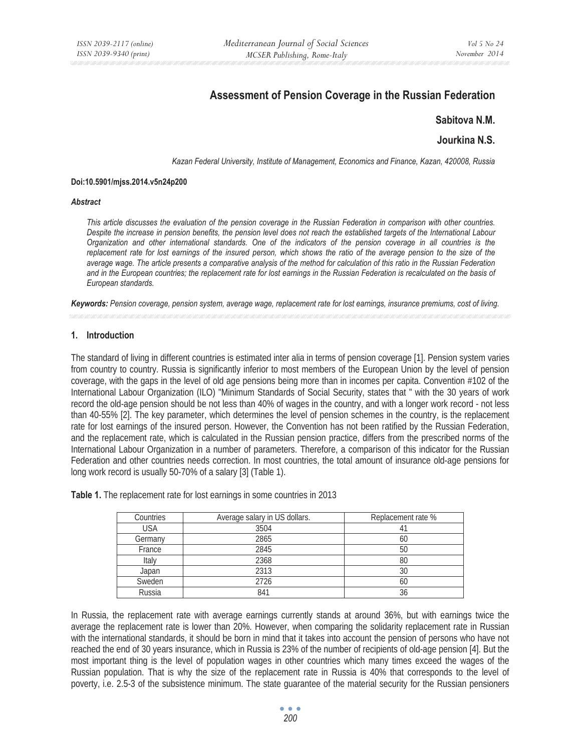# **Assessment of Pension Coverage in the Russian Federation**

# **Sabitova N.M.**

# **Jourkina N.S.**

*Kazan Federal University, Institute of Management, Economics and Finance, Kazan, 420008, Russia* 

#### **Doi:10.5901/mjss.2014.v5n24p200**

#### *Abstract*

*This article discusses the evaluation of the pension coverage in the Russian Federation in comparison with other countries. Despite the increase in pension benefits, the pension level does not reach the established targets of the International Labour Organization and other international standards. One of the indicators of the pension coverage in all countries is the*  replacement rate for lost earnings of the insured person, which shows the ratio of the average pension to the size of the *average wage. The article presents a comparative analysis of the method for calculation of this ratio in the Russian Federation and in the European countries; the replacement rate for lost earnings in the Russian Federation is recalculated on the basis of European standards.* 

*Keywords: Pension coverage, pension system, average wage, replacement rate for lost earnings, insurance premiums, cost of living.* 

### **1. Introduction**

The standard of living in different countries is estimated inter alia in terms of pension coverage [1]. Pension system varies from country to country. Russia is significantly inferior to most members of the European Union by the level of pension coverage, with the gaps in the level of old age pensions being more than in incomes per capita. Convention #102 of the International Labour Organization (ILO) "Minimum Standards of Social Security, states that " with the 30 years of work record the old-age pension should be not less than 40% of wages in the country, and with a longer work record - not less than 40-55% [2]. The key parameter, which determines the level of pension schemes in the country, is the replacement rate for lost earnings of the insured person. However, the Convention has not been ratified by the Russian Federation, and the replacement rate, which is calculated in the Russian pension practice, differs from the prescribed norms of the International Labour Organization in a number of parameters. Therefore, a comparison of this indicator for the Russian Federation and other countries needs correction. In most countries, the total amount of insurance old-age pensions for long work record is usually 50-70% of a salary [3] (Table 1).

| Countries  | Average salary in US dollars. | Replacement rate % |
|------------|-------------------------------|--------------------|
| <b>USA</b> | 3504                          |                    |
| Germany    | 2865                          | 60                 |
| France     | 2845                          | 50                 |
| Italy      | 2368                          | 80                 |
| Japan      | 2313                          | 30                 |
| Sweden     | 2726                          | 60                 |
| Russia     | 841                           | 36                 |

**Table 1.** The replacement rate for lost earnings in some countries in 2013

In Russia, the replacement rate with average earnings currently stands at around 36%, but with earnings twice the average the replacement rate is lower than 20%. However, when comparing the solidarity replacement rate in Russian with the international standards, it should be born in mind that it takes into account the pension of persons who have not reached the end of 30 years insurance, which in Russia is 23% of the number of recipients of old-age pension [4]. But the most important thing is the level of population wages in other countries which many times exceed the wages of the Russian population. That is why the size of the replacement rate in Russia is 40% that corresponds to the level of poverty, i.e. 2.5-3 of the subsistence minimum. The state guarantee of the material security for the Russian pensioners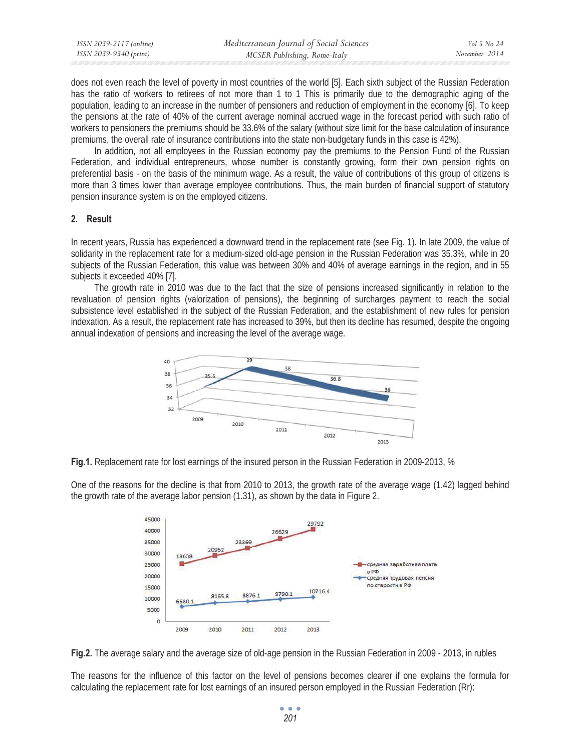| ISSN 2039-2117 (online) | Mediterranean Journal of Social Sciences | Vol 5 No 24   |
|-------------------------|------------------------------------------|---------------|
| ISSN 2039-9340 (print)  | MCSER Publishing, Rome-Italy             | November 2014 |

does not even reach the level of poverty in most countries of the world [5]. Each sixth subject of the Russian Federation has the ratio of workers to retirees of not more than 1 to 1 This is primarily due to the demographic aging of the population, leading to an increase in the number of pensioners and reduction of employment in the economy [6]. To keep the pensions at the rate of 40% of the current average nominal accrued wage in the forecast period with such ratio of workers to pensioners the premiums should be 33.6% of the salary (without size limit for the base calculation of insurance premiums, the overall rate of insurance contributions into the state non-budgetary funds in this case is 42%).

In addition, not all employees in the Russian economy pay the premiums to the Pension Fund of the Russian Federation, and individual entrepreneurs, whose number is constantly growing, form their own pension rights on preferential basis - on the basis of the minimum wage. As a result, the value of contributions of this group of citizens is more than 3 times lower than average employee contributions. Thus, the main burden of financial support of statutory pension insurance system is on the employed citizens.

# **2. Result**

In recent years, Russia has experienced a downward trend in the replacement rate (see Fig. 1). In late 2009, the value of solidarity in the replacement rate for a medium-sized old-age pension in the Russian Federation was 35.3%, while in 20 subjects of the Russian Federation, this value was between 30% and 40% of average earnings in the region, and in 55 subjects it exceeded 40% [7].

The growth rate in 2010 was due to the fact that the size of pensions increased significantly in relation to the revaluation of pension rights (valorization of pensions), the beginning of surcharges payment to reach the social subsistence level established in the subject of the Russian Federation, and the establishment of new rules for pension indexation. As a result, the replacement rate has increased to 39%, but then its decline has resumed, despite the ongoing annual indexation of pensions and increasing the level of the average wage.



**Fig.1.** Replacement rate for lost earnings of the insured person in the Russian Federation in 2009-2013, %

One of the reasons for the decline is that from 2010 to 2013, the growth rate of the average wage (1.42) lagged behind the growth rate of the average labor pension (1.31), as shown by the data in Figure 2.



**Fig.2.** The average salary and the average size of old-age pension in the Russian Federation in 2009 - 2013, in rubles

The reasons for the influence of this factor on the level of pensions becomes clearer if one explains the formula for calculating the replacement rate for lost earnings of an insured person employed in the Russian Federation (Rr):

> $\bullet$   $\bullet$   $\bullet$ *201*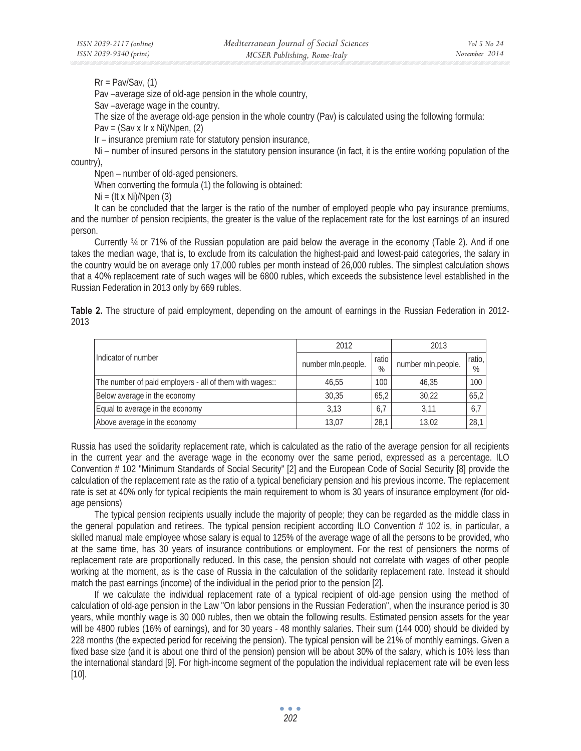$Rr = Pav/Sav, (1)$ 

Pav –average size of old-age pension in the whole country,

Sav –average wage in the country.

The size of the average old-age pension in the whole country (Pav) is calculated using the following formula:

Pav =  $(Sav x Irx Ni)/Npen, (2)$ 

Ir – insurance premium rate for statutory pension insurance,

Ni – number of insured persons in the statutory pension insurance (in fact, it is the entire working population of the country),

Npen – number of old-aged pensioners.

When converting the formula (1) the following is obtained:

 $Ni = (Itx Ni)/Npen(3)$ 

It can be concluded that the larger is the ratio of the number of employed people who pay insurance premiums, and the number of pension recipients, the greater is the value of the replacement rate for the lost earnings of an insured person.

Currently ¾ or 71% of the Russian population are paid below the average in the economy (Table 2). And if one takes the median wage, that is, to exclude from its calculation the highest-paid and lowest-paid categories, the salary in the country would be on average only 17,000 rubles per month instead of 26,000 rubles. The simplest calculation shows that a 40% replacement rate of such wages will be 6800 rubles, which exceeds the subsistence level established in the Russian Federation in 2013 only by 669 rubles.

**Table 2.** The structure of paid employment, depending on the amount of earnings in the Russian Federation in 2012- 2013

|                                                         | 2012               |                 | 2013               |                |
|---------------------------------------------------------|--------------------|-----------------|--------------------|----------------|
| Indicator of number                                     | number mln.people. | I ratio<br>$\%$ | number mln.people. | ratio,<br>$\%$ |
| The number of paid employers - all of them with wages:: | 46,55              | 100             | 46,35              | 100            |
| Below average in the economy                            | 30.35              | 65.2            | 30.22              | 65,2           |
| Equal to average in the economy                         | 3.13               | 6.7             | 3.11               | 6,7            |
| Above average in the economy                            | 13.07              | 28,1            | 13.02              | 28,1           |

Russia has used the solidarity replacement rate, which is calculated as the ratio of the average pension for all recipients in the current year and the average wage in the economy over the same period, expressed as a percentage. ILO Convention # 102 "Minimum Standards of Social Security" [2] and the European Code of Social Security [8] provide the calculation of the replacement rate as the ratio of a typical beneficiary pension and his previous income. The replacement rate is set at 40% only for typical recipients the main requirement to whom is 30 years of insurance employment (for oldage pensions)

The typical pension recipients usually include the majority of people; they can be regarded as the middle class in the general population and retirees. The typical pension recipient according ILO Convention # 102 is, in particular, a skilled manual male employee whose salary is equal to 125% of the average wage of all the persons to be provided, who at the same time, has 30 years of insurance contributions or employment. For the rest of pensioners the norms of replacement rate are proportionally reduced. In this case, the pension should not correlate with wages of other people working at the moment, as is the case of Russia in the calculation of the solidarity replacement rate. Instead it should match the past earnings (income) of the individual in the period prior to the pension [2].

If we calculate the individual replacement rate of a typical recipient of old-age pension using the method of calculation of old-age pension in the Law "On labor pensions in the Russian Federation", when the insurance period is 30 years, while monthly wage is 30 000 rubles, then we obtain the following results. Estimated pension assets for the year will be 4800 rubles (16% of earnings), and for 30 years - 48 monthly salaries. Their sum (144 000) should be divided by 228 months (the expected period for receiving the pension). The typical pension will be 21% of monthly earnings. Given a fixed base size (and it is about one third of the pension) pension will be about 30% of the salary, which is 10% less than the international standard [9]. For high-income segment of the population the individual replacement rate will be even less [10].